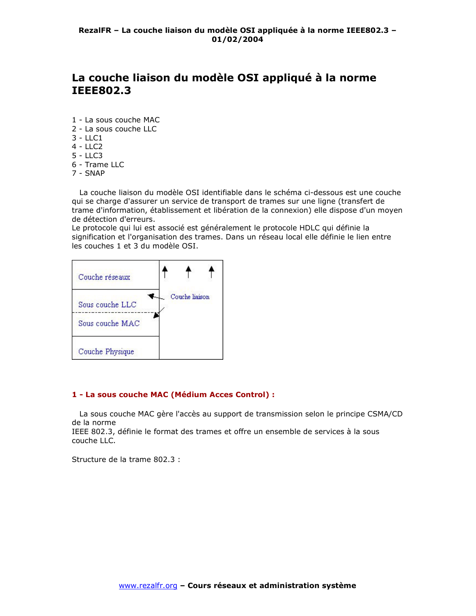# La couche liaison du modèle OSI appliqué à la norme **IEEE802.3**

- 1 La sous couche MAC
- 2 La sous couche LLC
- $3 LLC1$
- $4 LLC2$
- $5 LLC3$
- 6 Trame LLC
- $7 SNAP$

La couche liaison du modèle OSI identifiable dans le schéma ci-dessous est une couche qui se charge d'assurer un service de transport de trames sur une ligne (transfert de trame d'information, établissement et libération de la connexion) elle dispose d'un moyen de détection d'erreurs.

Le protocole qui lui est associé est généralement le protocole HDLC qui définie la signification et l'organisation des trames. Dans un réseau local elle définie le lien entre les couches 1 et 3 du modèle OSI.



### 1 - La sous couche MAC (Médium Acces Control) :

La sous couche MAC gère l'accès au support de transmission selon le principe CSMA/CD de la norme

IEEE 802.3, définie le format des trames et offre un ensemble de services à la sous couche LLC.

Structure de la trame 802.3 :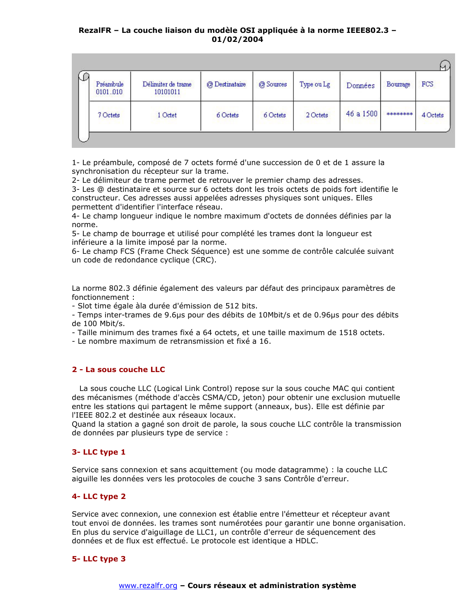| Préambule<br>0101.010 | Délimiter de trame<br>10101011 | @ Destinataire | @ Sources | Type ou Lg | Données   | Bourrage | FCS      |
|-----------------------|--------------------------------|----------------|-----------|------------|-----------|----------|----------|
| 7 Octets              | 1 Octet                        | 6 Octets       | 6 Octets  | 2 Octets   | 46 a 1500 | ******** | 4 Octets |

1- Le préambule, composé de 7 octets formé d'une succession de 0 et de 1 assure la synchronisation du récepteur sur la trame.

2- Le délimiteur de trame permet de retrouver le premier champ des adresses.

3- Les @ destinataire et source sur 6 octets dont les trois octets de poids fort identifie le constructeur. Ces adresses aussi appelées adresses physiques sont uniques. Elles permettent d'identifier l'interface réseau.

4- Le champ longueur indique le nombre maximum d'octets de données définies par la norme.

5- Le champ de bourrage et utilisé pour complété les trames dont la longueur est inférieure a la limite imposé par la norme.

6- Le champ FCS (Frame Check Séquence) est une somme de contrôle calculée suivant un code de redondance cyclique (CRC).

La norme 802.3 définie également des valeurs par défaut des principaux paramètres de fonctionnement:

- Slot time égale àla durée d'émission de 512 bits.

- Temps inter-trames de 9.6µs pour des débits de 10Mbit/s et de 0.96µs pour des débits de 100 Mbit/s.

- Taille minimum des trames fixé a 64 octets, et une taille maximum de 1518 octets.

- Le nombre maximum de retransmission et fixé a 16.

#### 2 - La sous couche LLC

La sous couche LLC (Logical Link Control) repose sur la sous couche MAC qui contient des mécanismes (méthode d'accès CSMA/CD, jeton) pour obtenir une exclusion mutuelle entre les stations qui partagent le même support (anneaux, bus). Elle est définie par l'IEEE 802.2 et destinée aux réseaux locaux.

Quand la station a gagné son droit de parole, la sous couche LLC contrôle la transmission de données par plusieurs type de service :

#### 3-LLC type 1

Service sans connexion et sans acquittement (ou mode datagramme) : la couche LLC aiguille les données vers les protocoles de couche 3 sans Contrôle d'erreur.

## 4- LLC type 2

Service avec connexion, une connexion est établie entre l'émetteur et récepteur avant tout envoi de données. les trames sont numérotées pour garantir une bonne organisation. En plus du service d'aiguillage de LLC1, un contrôle d'erreur de séquencement des données et de flux est effectué. Le protocole est identique a HDLC.

#### 5- LLC type 3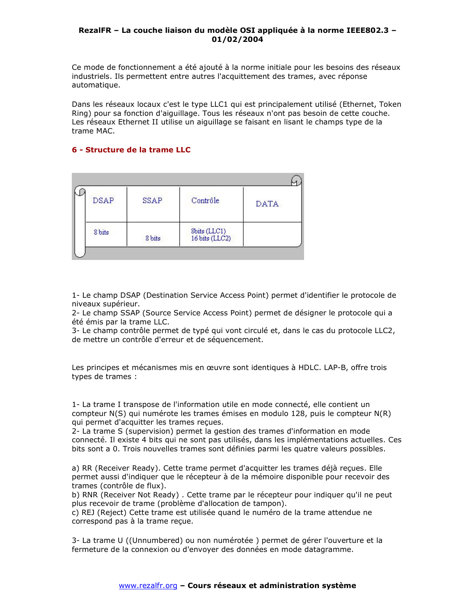Ce mode de fonctionnement a été ajouté à la norme initiale pour les besoins des réseaux industriels. Ils permettent entre autres l'acquittement des trames, avec réponse automatique.

Dans les réseaux locaux c'est le type LLC1 qui est principalement utilisé (Ethernet, Token Ring) pour sa fonction d'aiguillage. Tous les réseaux n'ont pas besoin de cette couche. Les réseaux Ethernet II utilise un aiguillage se faisant en lisant le champs type de la trame MAC.

# 6 - Structure de la trame LLC

| <b>DSAP</b> | SSAP   | Contrôle                                                                   | <b>DATA</b> |
|-------------|--------|----------------------------------------------------------------------------|-------------|
| 8 bits      | 8 bits | $\begin{array}{l} \text{Sbits (LLC1)}\\ \text{16 bits (LLC2)} \end{array}$ |             |

1- Le champ DSAP (Destination Service Access Point) permet d'identifier le protocole de niveaux supérieur.

2- Le champ SSAP (Source Service Access Point) permet de désigner le protocole qui a été émis par la trame LLC.

3- Le champ contrôle permet de typé qui vont circulé et, dans le cas du protocole LLC2, de mettre un contrôle d'erreur et de séquencement.

Les principes et mécanismes mis en œuvre sont identiques à HDLC. LAP-B, offre trois types de trames :

1- La trame I transpose de l'information utile en mode connecté, elle contient un compteur N(S) qui numérote les trames émises en modulo 128, puis le compteur N(R) qui permet d'acquitter les trames recues.

2- La trame S (supervision) permet la gestion des trames d'information en mode connecté. Il existe 4 bits qui ne sont pas utilisés, dans les implémentations actuelles. Ces bits sont a 0. Trois nouvelles trames sont définies parmi les quatre valeurs possibles.

a) RR (Receiver Ready), Cette trame permet d'acquitter les trames déjà recues, Elle permet aussi d'indiquer que le récepteur à de la mémoire disponible pour recevoir des trames (contrôle de flux).

b) RNR (Receiver Not Ready). Cette trame par le récepteur pour indiquer qu'il ne peut plus recevoir de trame (problème d'allocation de tampon).

c) REJ (Reject) Cette trame est utilisée quand le numéro de la trame attendue ne correspond pas à la trame reçue.

3- La trame U ((Unnumbered) ou non numérotée) permet de gérer l'ouverture et la fermeture de la connexion ou d'envoyer des données en mode datagramme.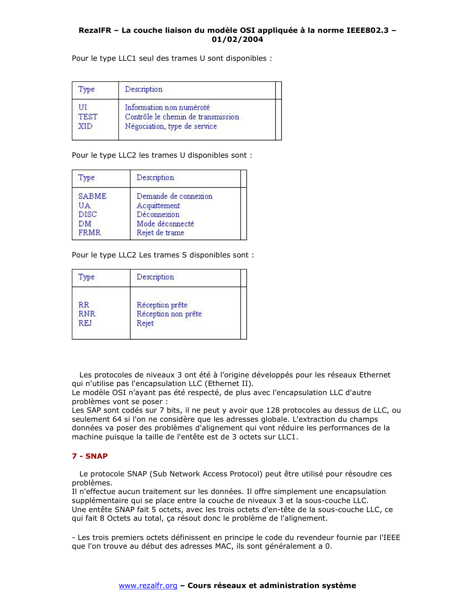Pour le type LLC1 seul des trames U sont disponibles :

| Type              | Description                                                                                    |  |
|-------------------|------------------------------------------------------------------------------------------------|--|
| UП<br>TEST<br>YID | Information non numéroté<br>Contrôle le chemin de transmission<br>Négociation, type de service |  |

Pour le type LLC2 les trames U disponibles sont :

| Type                                                   | Description                                                                              |  |
|--------------------------------------------------------|------------------------------------------------------------------------------------------|--|
| <b>SABME</b><br>UA<br><b>DISC</b><br>DM<br><b>FRMR</b> | Demande de connexion<br>Acquittement<br>Déconnexion<br>Mode déconnecté<br>Rejet de trame |  |

Pour le type LLC2 Les trames S disponibles sont :

| Type                           | Description                                     |  |
|--------------------------------|-------------------------------------------------|--|
| <b>RR</b><br><b>RNR</b><br>REJ | Réception prête<br>Réception non prête<br>Rejet |  |

Les protocoles de niveaux 3 ont été à l'origine développés pour les réseaux Ethernet qui n'utilise pas l'encapsulation LLC (Ethernet II).

Le modèle OSI n'ayant pas été respecté, de plus avec l'encapsulation LLC d'autre problèmes vont se poser :

Les SAP sont codés sur 7 bits, il ne peut y avoir que 128 protocoles au dessus de LLC, ou seulement 64 si l'on ne considère que les adresses globale. L'extraction du champs données va poser des problèmes d'alignement qui vont réduire les performances de la machine puisque la taille de l'entête est de 3 octets sur LLC1.

## $7 - SNAP$

Le protocole SNAP (Sub Network Access Protocol) peut être utilisé pour résoudre ces problèmes.

Il n'effectue aucun traitement sur les données. Il offre simplement une encapsulation supplémentaire qui se place entre la couche de niveaux 3 et la sous-couche LLC. Une entête SNAP fait 5 octets, avec les trois octets d'en-tête de la sous-couche LLC, ce qui fait 8 Octets au total, ça résout donc le problème de l'alignement.

- Les trois premiers octets définissent en principe le code du revendeur fournie par l'IEEE que l'on trouve au début des adresses MAC, ils sont généralement a 0.